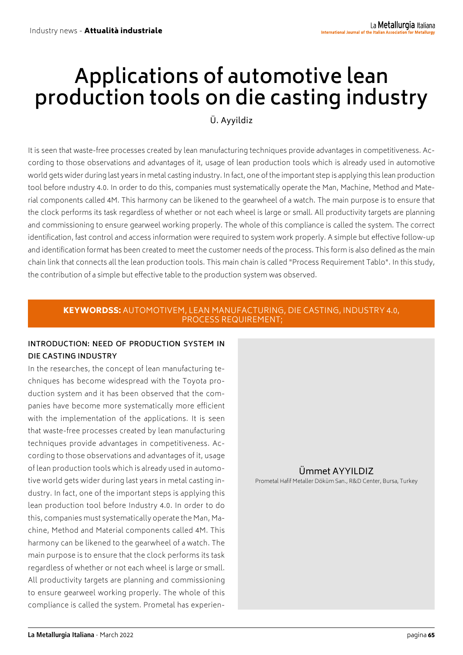# **Applications of automotive lean production tools on die casting industry**

Ü. Ayyildiz

It is seen that waste-free processes created by lean manufacturing techniques provide advantages in competitiveness. According to those observations and advantages of it, usage of lean production tools which is already used in automotive world gets wider during last years in metal casting industry. In fact, one of the important step is applying this lean production tool before ındustry 4.0. In order to do this, companies must systematically operate the Man, Machine, Method and Material components called 4M. This harmony can be likened to the gearwheel of a watch. The main purpose is to ensure that the clock performs its task regardless of whether or not each wheel is large or small. All productivity targets are planning and commissioning to ensure gearweel working properly. The whole of this compliance is called the system. The correct identification, fast control and access information were required to system work properly. A simple but effective follow-up and identification format has been created to meet the customer needs of the process. This form is also defined as the main chain link that connects all the lean production tools. This main chain is called "Process Requirement Tablo". In this study, the contribution of a simple but effective table to the production system was observed.

#### KEYWORDSS: AUTOMOTIVEM, LEAN MANUFACTURING, DIE CASTING, INDUSTRY 4.0, PROCESS REQUIREMENT;

## **INTRODUCTION: NEED OF PRODUCTION SYSTEM IN DIE CASTING INDUSTRY**

In the researches, the concept of lean manufacturing techniques has become widespread with the Toyota production system and it has been observed that the companies have become more systematically more efficient with the implementation of the applications. It is seen that waste-free processes created by lean manufacturing techniques provide advantages in competitiveness. According to those observations and advantages of it, usage of lean production tools which is already used in automotive world gets wider during last years in metal casting industry. In fact, one of the important steps is applying this lean production tool before Industry 4.0. In order to do this, companies must systematically operate the Man, Machine, Method and Material components called 4M. This harmony can be likened to the gearwheel of a watch. The main purpose is to ensure that the clock performs its task regardless of whether or not each wheel is large or small. All productivity targets are planning and commissioning to ensure gearweel working properly. The whole of this compliance is called the system. Prometal has experien-

# Ümmet AYYILDIZ

Prometal Hafif Metaller Döküm San., R&D Center, Bursa, Turkey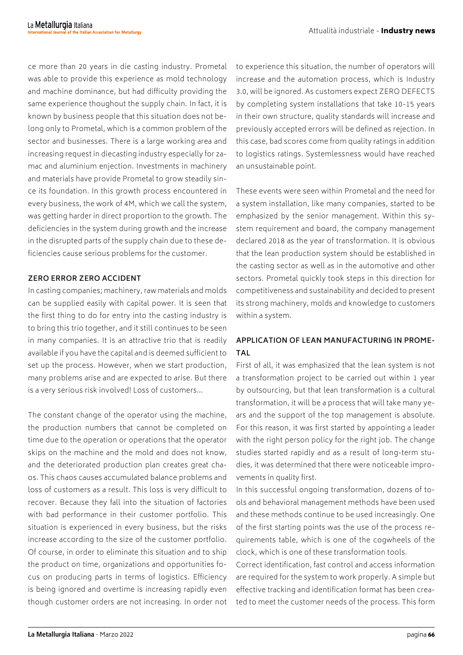ce more than 20 years in die casting industry. Prometal was able to provide this experience as mold technology and machine dominance, but had difficulty providing the same experience thoughout the supply chain. In fact, it is known by business people that this situation does not belong only to Prometal, which is a common problem of the sector and businesses. There is a large working area and increasing request in diecasting industry especially for zamac and aluminium enjection. Investments in machinery and materials have provide Prometal to grow steadily since its foundation. In this growth process encountered in every business, the work of 4M, which we call the system, was getting harder in direct proportion to the growth. The deficiencies in the system during growth and the increase in the disrupted parts of the supply chain due to these deficiencies cause serious problems for the customer.

#### **ZERO ERROR ZERO ACCIDENT**

In casting companies; machinery, raw materials and molds can be supplied easily with capital power. It is seen that the first thing to do for entry into the casting industry is to bring this trio together, and it still continues to be seen in many companies. It is an attractive trio that is readily available if you have the capital and is deemed sufficient to set up the process. However, when we start production, many problems arise and are expected to arise. But there is a very serious risk involved! Loss of customers…

The constant change of the operator using the machine, the production numbers that cannot be completed on time due to the operation or operations that the operator skips on the machine and the mold and does not know, and the deteriorated production plan creates great chaos. This chaos causes accumulated balance problems and loss of customers as a result. This loss is very difficult to recover. Because they fall into the situation of factories with bad performance in their customer portfolio. This situation is experienced in every business, but the risks increase according to the size of the customer portfolio. Of course, in order to eliminate this situation and to ship the product on time, organizations and opportunities focus on producing parts in terms of logistics. Efficiency is being ignored and overtime is increasing rapidly even though customer orders are not increasing. In order not to experience this situation, the number of operators will increase and the automation process, which is Industry 3.0, will be ignored. As customers expect ZERO DEFECTS by completing system installations that take 10-15 years in their own structure, quality standards will increase and previously accepted errors will be defined as rejection. In this case, bad scores come from quality ratings in addition to logistics ratings. Systemlessness would have reached an unsustainable point.

These events were seen within Prometal and the need for a system installation, like many companies, started to be emphasized by the senior management. Within this system requirement and board, the company management declared 2018 as the year of transformation. It is obvious that the lean production system should be established in the casting sector as well as in the automotive and other sectors. Prometal quickly took steps in this direction for competitiveness and sustainability and decided to present its strong machinery, molds and knowledge to customers within a system.

# **APPLICATION OF LEAN MANUFACTURING IN PROME-TAL**

First of all, it was emphasized that the lean system is not a transformation project to be carried out within 1 year by outsourcing, but that lean transformation is a cultural transformation, it will be a process that will take many years and the support of the top management is absolute. For this reason, it was first started by appointing a leader with the right person policy for the right job. The change studies started rapidly and as a result of long-term studies, it was determined that there were noticeable improvements in quality first.

In this successful ongoing transformation, dozens of tools and behavioral management methods have been used and these methods continue to be used increasingly. One of the first starting points was the use of the process requirements table, which is one of the cogwheels of the clock, which is one of these transformation tools.

Correct identification, fast control and access information are required for the system to work properly. A simple but effective tracking and identification format has been created to meet the customer needs of the process. This form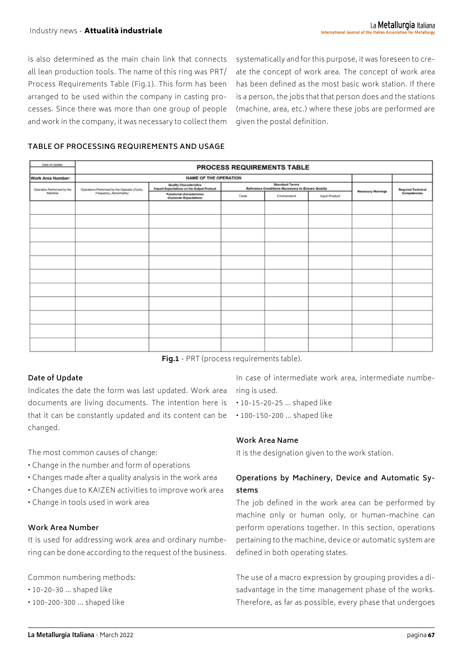is also determined as the main chain link that connects all lean production tools. The name of this ring was PRT/ Process Requirements Table (Fig.1). This form has been arranged to be used within the company in casting processes. Since there was more than one group of people and work in the company, it was necessary to collect them systematically and for this purpose, it was foreseen to create the concept of work area. The concept of work area has been defined as the most basic work station. If there is a person, the jobs that that person does and the stations (machine, area, etc.) where these jobs are performed are given the postal definition.

#### **TABLE OF PROCESSING REQUIREMENTS AND USAGE**

| Date of Update             |                                                                          |                                                                             | PROCESS REQUIREMENTS TABLE |                                                                           |               |                           |                           |
|----------------------------|--------------------------------------------------------------------------|-----------------------------------------------------------------------------|----------------------------|---------------------------------------------------------------------------|---------------|---------------------------|---------------------------|
| <b>Work Area Number:</b>   | <b>NAME OF THE OPERATION</b>                                             |                                                                             |                            |                                                                           |               |                           |                           |
| Operation Performed by the | Operations Performed by the Operator (Cyclic,<br>Frequency, Abnormality) | <b>Quality Characteristics</b><br>Impact Expectations on the Output Product |                            | <b>Standard Terms</b><br>Reference Conditions Necessary to Ensure Quality |               | <b>Necessary Warnings</b> | <b>Required Technical</b> |
| Machine                    |                                                                          | <b>Functional characteristics</b><br>-Customer Expectations-                | Tools                      | Environment                                                               | Input Product |                           | Competencies              |
|                            |                                                                          |                                                                             |                            |                                                                           |               |                           |                           |
|                            |                                                                          |                                                                             |                            |                                                                           |               |                           |                           |
|                            |                                                                          |                                                                             |                            |                                                                           |               |                           |                           |
|                            |                                                                          |                                                                             |                            |                                                                           |               |                           |                           |
|                            |                                                                          |                                                                             |                            |                                                                           |               |                           |                           |
|                            |                                                                          |                                                                             |                            |                                                                           |               |                           |                           |
|                            |                                                                          |                                                                             |                            |                                                                           |               |                           |                           |
|                            |                                                                          |                                                                             |                            |                                                                           |               |                           |                           |
|                            |                                                                          |                                                                             |                            |                                                                           |               |                           |                           |
|                            |                                                                          |                                                                             |                            |                                                                           |               |                           |                           |
|                            |                                                                          |                                                                             |                            |                                                                           |               |                           |                           |

**Fig.1** - PRT (process requirements table).

#### **Date of Update**

Indicates the date the form was last updated. Work area documents are living documents. The intention here is that it can be constantly updated and its content can be changed.

The most common causes of change:

- Change in the number and form of operations
- Changes made after a quality analysis in the work area
- Changes due to KAIZEN activities to improve work area
- Change in tools used in work area

#### **Work Area Number**

It is used for addressing work area and ordinary numbering can be done according to the request of the business.

Common numbering methods:

- 10-20-30 … shaped like
- 100-200-300 … shaped like

In case of intermediate work area, intermediate numbering is used.

- 10-15-20-25 … shaped like
- 100-150-200 … shaped like

### **Work Area Name**

It is the designation given to the work station.

## **Operations by Machinery, Device and Automatic Systems**

The job defined in the work area can be performed by machine only or human only, or human-machine can perform operations together. In this section, operations pertaining to the machine, device or automatic system are defined in both operating states.

The use of a macro expression by grouping provides a disadvantage in the time management phase of the works. Therefore, as far as possible, every phase that undergoes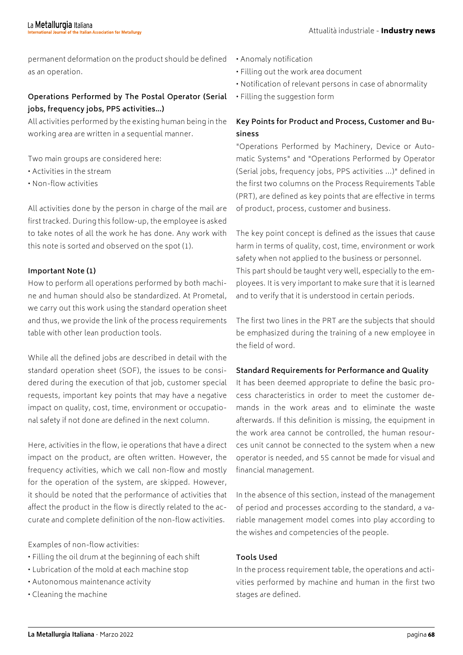permanent deformation on the product should be defined as an operation.

## **Operations Performed by The Postal Operator (Serial jobs, frequency jobs, PPS activities…)**

All activities performed by the existing human being in the working area are written in a sequential manner.

Two main groups are considered here:

- Activities in the stream
- Non-flow activities

All activities done by the person in charge of the mail are first tracked. During this follow-up, the employee is asked to take notes of all the work he has done. Any work with this note is sorted and observed on the spot (1).

#### **Important Note (1)**

How to perform all operations performed by both machine and human should also be standardized. At Prometal, we carry out this work using the standard operation sheet and thus, we provide the link of the process requirements table with other lean production tools.

While all the defined jobs are described in detail with the standard operation sheet (SOF), the issues to be considered during the execution of that job, customer special requests, important key points that may have a negative impact on quality, cost, time, environment or occupational safety if not done are defined in the next column.

Here, activities in the flow, ie operations that have a direct impact on the product, are often written. However, the frequency activities, which we call non-flow and mostly for the operation of the system, are skipped. However, it should be noted that the performance of activities that affect the product in the flow is directly related to the accurate and complete definition of the non-flow activities.

Examples of non-flow activities:

- Filling the oil drum at the beginning of each shift
- Lubrication of the mold at each machine stop
- Autonomous maintenance activity
- Cleaning the machine
- Anomaly notification
- Filling out the work area document
- Notification of relevant persons in case of abnormality
- Filling the suggestion form

## **Key Points for Product and Process, Customer and Business**

"Operations Performed by Machinery, Device or Automatic Systems" and "Operations Performed by Operator (Serial jobs, frequency jobs, PPS activities ...)" defined in the first two columns on the Process Requirements Table (PRT), are defined as key points that are effective in terms of product, process, customer and business.

The key point concept is defined as the issues that cause harm in terms of quality, cost, time, environment or work safety when not applied to the business or personnel. This part should be taught very well, especially to the employees. It is very important to make sure that it is learned and to verify that it is understood in certain periods.

The first two lines in the PRT are the subjects that should be emphasized during the training of a new employee in the field of word.

#### **Standard Requirements for Performance and Quality**

It has been deemed appropriate to define the basic process characteristics in order to meet the customer demands in the work areas and to eliminate the waste afterwards. If this definition is missing, the equipment in the work area cannot be controlled, the human resources unit cannot be connected to the system when a new operator is needed, and 5S cannot be made for visual and financial management.

In the absence of this section, instead of the management of period and processes according to the standard, a variable management model comes into play according to the wishes and competencies of the people.

#### **Tools Used**

In the process requirement table, the operations and activities performed by machine and human in the first two stages are defined.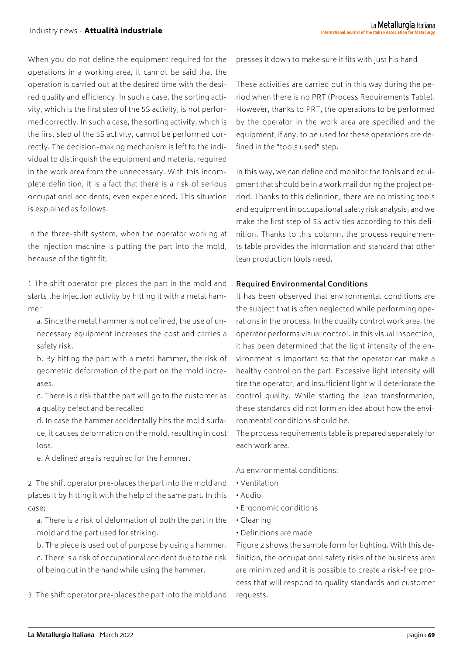When you do not define the equipment required for the operations in a working area, it cannot be said that the operation is carried out at the desired time with the desired quality and efficiency. In such a case, the sorting activity, which is the first step of the 5S activity, is not performed correctly. In such a case, the sorting activity, which is the first step of the 5S activity, cannot be performed correctly. The decision-making mechanism is left to the individual to distinguish the equipment and material required in the work area from the unnecessary. With this incomplete definition, it is a fact that there is a risk of serious occupational accidents, even experienced. This situation is explained as follows.

In the three-shift system, when the operator working at the injection machine is putting the part into the mold, because of the tight fit;

1.The shift operator pre-places the part in the mold and starts the injection activity by hitting it with a metal hammer

- a. Since the metal hammer is not defined, the use of unnecessary equipment increases the cost and carries a safety risk.
- b. By hitting the part with a metal hammer, the risk of geometric deformation of the part on the mold increases.
- c. There is a risk that the part will go to the customer as a quality defect and be recalled.
- d. In case the hammer accidentally hits the mold surface, it causes deformation on the mold, resulting in cost loss.
- e. A defined area is required for the hammer.
- 2. The shift operator pre-places the part into the mold and places it by hitting it with the help of the same part. In this case;
	- a. There is a risk of deformation of both the part in the mold and the part used for striking.
	- b. The piece is used out of purpose by using a hammer.
	- c. There is a risk of occupational accident due to the risk of being cut in the hand while using the hammer.
- 3. The shift operator pre-places the part into the mold and

presses it down to make sure it fits with just his hand

These activities are carried out in this way during the period when there is no PRT (Process Requirements Table). However, thanks to PRT, the operations to be performed by the operator in the work area are specified and the equipment, if any, to be used for these operations are defined in the "tools used" step.

In this way, we can define and monitor the tools and equipment that should be in a work mail during the project period. Thanks to this definition, there are no missing tools and equipment in occupational safety risk analysis, and we make the first step of 5S activities according to this definition. Thanks to this column, the process requirements table provides the information and standard that other lean production tools need.

#### **Required Environmental Conditions**

It has been observed that environmental conditions are the subject that is often neglected while performing operations in the process. In the quality control work area, the operator performs visual control. In this visual inspection, it has been determined that the light intensity of the environment is important so that the operator can make a healthy control on the part. Excessive light intensity will tire the operator, and insufficient light will deteriorate the control quality. While starting the lean transformation, these standards did not form an idea about how the environmental conditions should be.

The process requirements table is prepared separately for each work area.

As environmental conditions:

- Ventilation
- Audio
- Ergonomic conditions
- Cleaning
- Definitions are made.

Figure 2 shows the sample form for lighting. With this definition, the occupational safety risks of the business area are minimized and it is possible to create a risk-free process that will respond to quality standards and customer requests.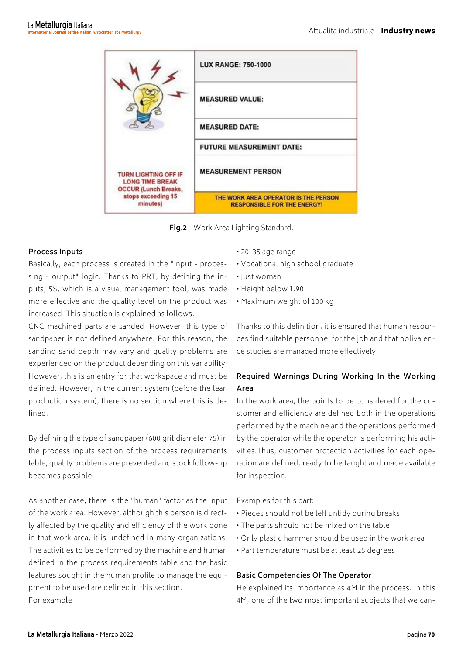|                                                               | <b>LUX RANGE: 750-1000</b>                                                 |  |
|---------------------------------------------------------------|----------------------------------------------------------------------------|--|
|                                                               | <b>MEASURED VALUE:</b>                                                     |  |
|                                                               | <b>MEASURED DATE:</b>                                                      |  |
|                                                               | <b>FUTURE MEASUREMENT DATE:</b>                                            |  |
| <b>TURN LIGHTING OFF IF</b><br><b>LONG TIME BREAK</b>         | <b>MEASUREMENT PERSON</b>                                                  |  |
| <b>OCCUR (Lunch Breaks,</b><br>stops exceeding 15<br>minutes) | THE WORK AREA OPERATOR IS THE PERSON<br><b>RESPONSIBLE FOR THE ENERGY!</b> |  |

**Fig.2** - Work Area Lighting Standard.

#### **Process Inputs**

Basically, each process is created in the "input - processing - output" logic. Thanks to PRT, by defining the inputs, 5S, which is a visual management tool, was made more effective and the quality level on the product was increased. This situation is explained as follows.

CNC machined parts are sanded. However, this type of sandpaper is not defined anywhere. For this reason, the sanding sand depth may vary and quality problems are experienced on the product depending on this variability. However, this is an entry for that workspace and must be defined. However, in the current system (before the lean production system), there is no section where this is defined.

By defining the type of sandpaper (600 grit diameter 75) in the process inputs section of the process requirements table, quality problems are prevented and stock follow-up becomes possible.

As another case, there is the "human" factor as the input of the work area. However, although this person is directly affected by the quality and efficiency of the work done in that work area, it is undefined in many organizations. The activities to be performed by the machine and human defined in the process requirements table and the basic features sought in the human profile to manage the equipment to be used are defined in this section. For example:

- 20-35 age range
- Vocational high school graduate
- Just woman
- Height below 1.90
- Maximum weight of 100 kg

Thanks to this definition, it is ensured that human resources find suitable personnel for the job and that polivalence studies are managed more effectively.

# **Required Warnings During Working In the Working Area**

In the work area, the points to be considered for the customer and efficiency are defined both in the operations performed by the machine and the operations performed by the operator while the operator is performing his activities.Thus, customer protection activities for each operation are defined, ready to be taught and made available for inspection.

Examples for this part:

- Pieces should not be left untidy during breaks
- The parts should not be mixed on the table
- Only plastic hammer should be used in the work area
- Part temperature must be at least 25 degrees

#### **Basic Competencies Of The Operator**

He explained its importance as 4M in the process. In this 4M, one of the two most important subjects that we can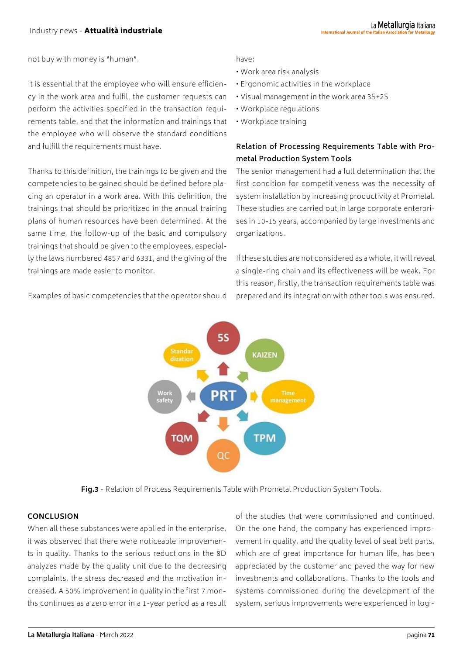not buy with money is "human".

It is essential that the employee who will ensure efficiency in the work area and fulfill the customer requests can perform the activities specified in the transaction requirements table, and that the information and trainings that the employee who will observe the standard conditions and fulfill the requirements must have.

Thanks to this definition, the trainings to be given and the competencies to be gained should be defined before placing an operator in a work area. With this definition, the trainings that should be prioritized in the annual training plans of human resources have been determined. At the same time, the follow-up of the basic and compulsory trainings that should be given to the employees, especially the laws numbered 4857 and 6331, and the giving of the trainings are made easier to monitor.

have:

- Work area risk analysis
- Ergonomic activities in the workplace
- Visual management in the work area 3S+2S
- Workplace regulations
- Workplace training

## **Relation of Processing Requirements Table with Prometal Production System Tools**

The senior management had a full determination that the first condition for competitiveness was the necessity of system installation by increasing productivity at Prometal. These studies are carried out in large corporate enterprises in 10-15 years, accompanied by large investments and organizations.

If these studies are not considered as a whole, it will reveal a single-ring chain and its effectiveness will be weak. For this reason, firstly, the transaction requirements table was prepared and its integration with other tools was ensured.



**Fig.3** - Relation of Process Requirements Table with Prometal Production System Tools.

#### **CONCLUSION**

When all these substances were applied in the enterprise, it was observed that there were noticeable improvements in quality. Thanks to the serious reductions in the 8D analyzes made by the quality unit due to the decreasing complaints, the stress decreased and the motivation increased. A 50% improvement in quality in the first 7 months continues as a zero error in a 1-year period as a result

of the studies that were commissioned and continued. On the one hand, the company has experienced improvement in quality, and the quality level of seat belt parts, which are of great importance for human life, has been appreciated by the customer and paved the way for new investments and collaborations. Thanks to the tools and systems commissioned during the development of the system, serious improvements were experienced in logi-

Examples of basic competencies that the operator should